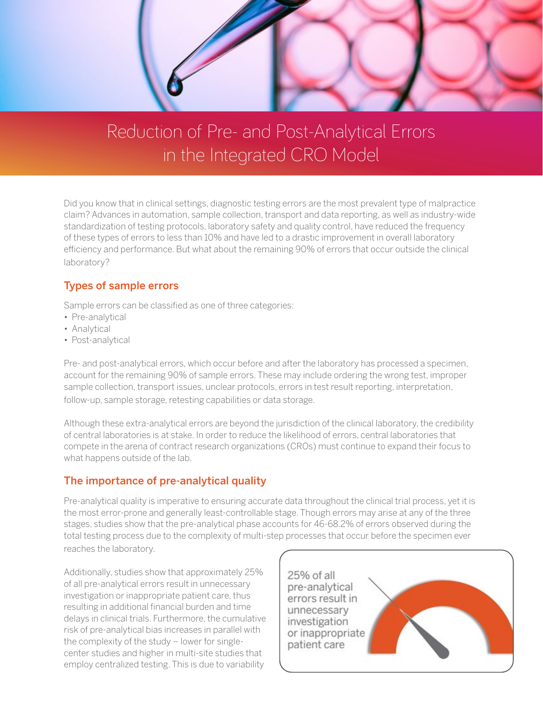

# Reduction of Pre- and Post-Analytical Errors in the Integrated CRO Model

Did you know that in clinical settings, diagnostic testing errors are the most prevalent type of malpractice claim? Advances in automation, sample collection, transport and data reporting, as well as industry-wide standardization of testing protocols, laboratory safety and quality control, have reduced the frequency of these types of errors to less than 10% and have led to a drastic improvement in overall laboratory efficiency and performance. But what about the remaining 90% of errors that occur outside the clinical laboratory?

### Types of sample errors

Sample errors can be classified as one of three categories:

- Pre-analytical
- Analytical
- Post-analytical

Pre- and post-analytical errors, which occur before and after the laboratory has processed a specimen, account for the remaining 90% of sample errors. These may include ordering the wrong test, improper sample collection, transport issues, unclear protocols, errors in test result reporting, interpretation, follow-up, sample storage, retesting capabilities or data storage.

Although these extra-analytical errors are beyond the jurisdiction of the clinical laboratory, the credibility of central laboratories is at stake. In order to reduce the likelihood of errors, central laboratories that compete in the arena of contract research organizations (CROs) must continue to expand their focus to what happens outside of the lab.

### The importance of pre-analytical quality

Pre-analytical quality is imperative to ensuring accurate data throughout the clinical trial process, yet it is the most error-prone and generally least-controllable stage. Though errors may arise at any of the three stages, studies show that the pre-analytical phase accounts for 46-68.2% of errors observed during the total testing process due to the complexity of multi-step processes that occur before the specimen ever reaches the laboratory.

Additionally, studies show that approximately 25% of all pre-analytical errors result in unnecessary investigation or inappropriate patient care, thus resulting in additional financial burden and time delays in clinical trials. Furthermore, the cumulative risk of pre-analytical bias increases in parallel with the complexity of the study – lower for singlecenter studies and higher in multi-site studies that employ centralized testing. This is due to variability